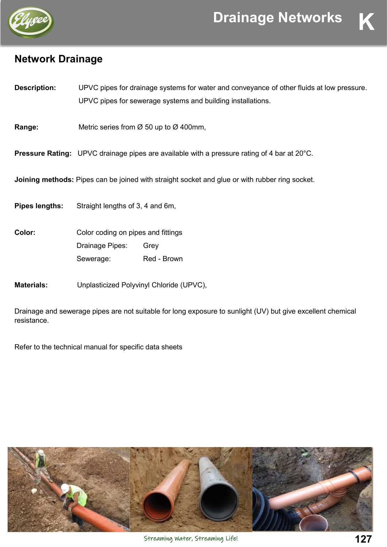

## **Network Drainage**

| <b>Description:</b> | UPVC pipes for drainage systems for water and conveyance of other fluids at low pressure. |
|---------------------|-------------------------------------------------------------------------------------------|
|                     | UPVC pipes for sewerage systems and building installations.                               |

**Range:** Metric series from Ø 50 up to Ø 400mm,

**Pressure Rating:** UPVC drainage pipes are available with a pressure rating of 4 bar at 20°C.

**Joining methods:** Pipes can be joined with straight socket and glue or with rubber ring socket.

**Pipes lengths:** Straight lengths of 3, 4 and 6m,

| <b>Color:</b> | Color coding on pipes and fittings |             |
|---------------|------------------------------------|-------------|
|               | Drainage Pipes:                    | Grev        |
|               | Sewerage:                          | Red - Brown |

**Materials:** Unplasticized Polyvinyl Chloride (UPVC),

Drainage and sewerage pipes are not suitable for long exposure to sunlight (UV) but give excellent chemical resistance.

Refer to the technical manual for specific data sheets

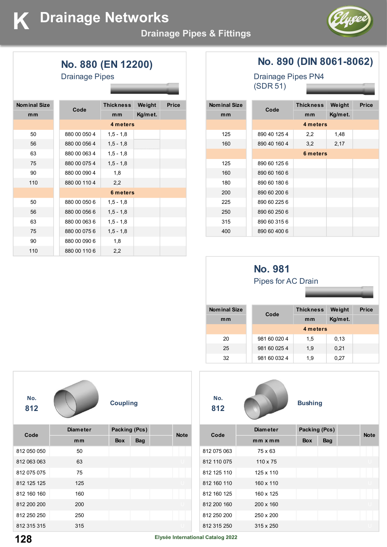

**No. 880 (EN 12200)**

| <b>Drainage Pipes</b> |  |
|-----------------------|--|
|-----------------------|--|

| <b>Nominal Size</b> | Code         | <b>Thickness</b> | Weight  | <b>Price</b> |
|---------------------|--------------|------------------|---------|--------------|
| m <sub>m</sub>      |              | m <sub>m</sub>   | Kg/met. |              |
|                     |              | 4 meters         |         |              |
| 50                  | 880 00 050 4 | $1,5 - 1,8$      |         |              |
| 56                  | 880 00 056 4 | $1,5 - 1,8$      |         |              |
| 63                  | 880 00 063 4 | $1,5 - 1,8$      |         |              |
| 75                  | 880 00 075 4 | $1,5 - 1,8$      |         |              |
| 90                  | 880 00 090 4 | 1,8              |         |              |
| 110                 | 880 00 110 4 | 2,2              |         |              |
|                     |              | 6 meters         |         |              |
| 50                  | 880 00 050 6 | $1,5 - 1,8$      |         |              |
| 56                  | 880 00 056 6 | $1,5 - 1,8$      |         |              |
| 63                  | 880 00 063 6 | $1,5 - 1,8$      |         |              |
| 75                  | 880 00 075 6 | $1,5 - 1,8$      |         |              |
| 90                  | 880 00 090 6 | 1,8              |         |              |
| 110                 | 880 00 110 6 | 2,2              |         |              |

### **No. 890 (DIN 8061-8062)**

Drainage Pipes PN4 (SDR 51)

| <b>Nominal Size</b> |              | <b>Thickness</b> | Weight  | <b>Price</b> |
|---------------------|--------------|------------------|---------|--------------|
| mm                  | Code         | mm               | Kg/met. |              |
|                     |              | 4 meters         |         |              |
| 125                 | 890 40 125 4 | 2,2              | 1,48    |              |
| 160                 | 890 40 160 4 | 3,2              | 2,17    |              |
|                     |              | 6 meters         |         |              |
| 125                 | 890 60 125 6 |                  |         |              |
| 160                 | 890 60 160 6 |                  |         |              |
| 180                 | 890 60 180 6 |                  |         |              |
| 200                 | 890 60 200 6 |                  |         |              |
| 225                 | 890 60 225 6 |                  |         |              |
| 250                 | 890 60 250 6 |                  |         |              |
| 315                 | 890 60 315 6 |                  |         |              |
| 400                 | 890 60 400 6 |                  |         |              |

|                     | <b>No. 981</b><br>Pipes for AC Drain |                  |         |              |  |  |
|---------------------|--------------------------------------|------------------|---------|--------------|--|--|
| <b>Nominal Size</b> | Code                                 | <b>Thickness</b> | Weight  | <b>Price</b> |  |  |
| m <sub>m</sub>      |                                      | mm               | Kg/met. |              |  |  |
|                     |                                      | 4 meters         |         |              |  |  |
| 20                  | 981 60 020 4                         | 1,5              | 0,13    |              |  |  |
| 25                  | 981 60 025 4                         | 1,9              | 0,21    |              |  |  |
| 32                  | 981 60 032 4                         | 1,9              | 0,27    |              |  |  |

| No.<br>812  |                 | <b>Coupling</b>      |            |             |
|-------------|-----------------|----------------------|------------|-------------|
| Code        | <b>Diameter</b> | <b>Packing (Pcs)</b> |            | <b>Note</b> |
|             | mm              | <b>Box</b>           | <b>Bag</b> |             |
| 812 050 050 | 50              |                      |            |             |
| 812 063 063 | 63              |                      |            |             |
| 812 075 075 | 75              |                      |            |             |
| 812 125 125 | 125             |                      |            |             |
| 812 160 160 | 160             |                      |            |             |
| 812 200 200 | 200             |                      |            |             |
| 812 250 250 | 250             |                      |            |             |
| 812 315 315 | 315             |                      |            |             |



812 250 200 250 x 200 812 315 250 315 x 250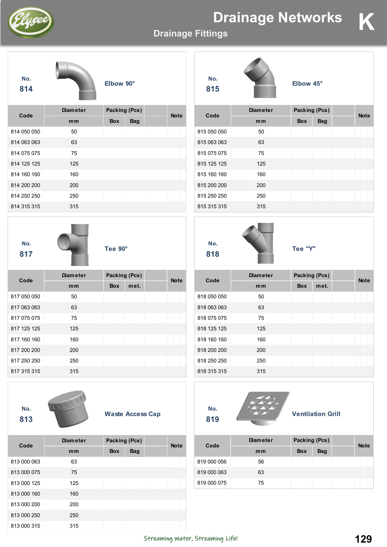# **Drainage Networks**

**Elbow 45°**



**No.**

**Drainage Fittings**

**No. 815**

| 814         |                 | <b>EIDOW 90</b> |                         |             | 815         |                 | <b>EIDOW 45</b> |                          |             |
|-------------|-----------------|-----------------|-------------------------|-------------|-------------|-----------------|-----------------|--------------------------|-------------|
|             | <b>Diameter</b> |                 | Packing (Pcs)           |             |             | <b>Diameter</b> |                 | Packing (Pcs)            |             |
| Code        | mm              | Box             | <b>Bag</b>              | <b>Note</b> | Code        | mm              | Box             | <b>Bag</b>               | <b>Note</b> |
| 814 050 050 | 50              |                 |                         |             | 815 050 050 | 50              |                 |                          |             |
| 814 063 063 | 63              |                 |                         |             | 815 063 063 | 63              |                 |                          |             |
| 814 075 075 | 75              |                 |                         |             | 815 075 075 | 75              |                 |                          |             |
| 814 125 125 | 125             |                 |                         |             | 815 125 125 | 125             |                 |                          |             |
| 814 160 160 | 160             |                 |                         |             | 815 160 160 | 160             |                 |                          |             |
| 814 200 200 | 200             |                 |                         |             | 815 200 200 | 200             |                 |                          |             |
| 814 250 250 | 250             |                 |                         |             | 815 250 250 | 250             |                 |                          |             |
| 814 315 315 | 315             |                 |                         |             | 815 315 315 | 315             |                 |                          |             |
| No.<br>817  |                 | Tee 90°         |                         |             | No.<br>818  |                 | Tee "Y"         |                          |             |
|             | <b>Diameter</b> |                 | Packing (Pcs)           |             |             | <b>Diameter</b> | Packing (Pcs)   |                          |             |
| Code        | mm              | <b>Box</b>      | met.                    | <b>Note</b> | Code        | mm              | <b>Box</b>      | met.                     | <b>Note</b> |
| 817 050 050 | 50              |                 |                         |             | 818 050 050 | 50              |                 |                          |             |
| 817 063 063 | 63              |                 |                         |             | 818 063 063 | 63              |                 |                          |             |
| 817 075 075 | 75              |                 |                         |             | 818 075 075 | 75              |                 |                          |             |
| 817 125 125 | 125             |                 |                         |             | 818 125 125 | 125             |                 |                          |             |
| 817 160 160 | 160             |                 |                         |             | 818 160 160 | 160             |                 |                          |             |
| 817 200 200 | 200             |                 |                         |             | 818 200 200 | 200             |                 |                          |             |
| 817 250 250 | 250             |                 |                         |             | 818 250 250 | 250             |                 |                          |             |
| 817 315 315 | 315             |                 |                         |             | 818 315 315 | 315             |                 |                          |             |
| No.<br>813  | 122.777         |                 | <b>Waste Access Cap</b> |             | No.<br>819  |                 |                 | <b>Ventilation Grill</b> |             |
| Code        | <b>Diameter</b> |                 | Packing (Pcs)           | <b>Note</b> | Code        | <b>Diameter</b> | Packing (Pcs)   |                          |             |
|             | mm              | Box             | Bag                     |             |             | mm              | Box             | <b>Bag</b>               | <b>Note</b> |
| 813 000 063 | 63              |                 |                         |             | 819 000 056 | 56              |                 |                          |             |
| 813 000 075 | 75              |                 |                         |             | 819 000 063 | 63              |                 |                          |             |
| 813 000 125 | 125             |                 |                         |             | 819 000 075 | 75              |                 |                          |             |
| 813 000 160 | 160             |                 |                         |             |             |                 |                 |                          |             |
| 813 000 200 | 200             |                 |                         |             |             |                 |                 |                          |             |
| 813 000 250 | 250             |                 |                         |             |             |                 |                 |                          |             |
| 813 000 315 | 315             |                 |                         |             |             |                 |                 |                          |             |

**Elbow 90°**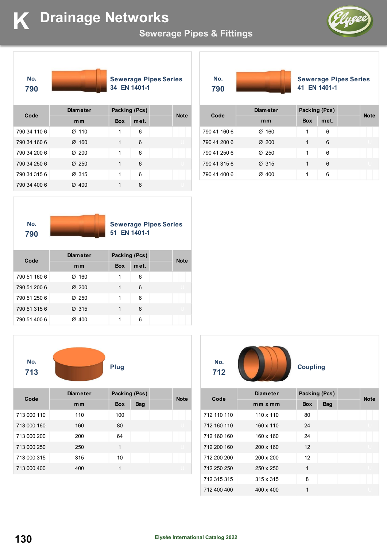

# **K Drainage Networks Change**

### **Sewerage Pipes & Fittings**





**Sewerage Pipes Series 34 EN 1401-1** 

**No. 790**

**Sewerage Pipes Series 41 EN 1401-1** 

| Code         | <b>Diameter</b>   | Packing (Pcs) |      | <b>Note</b> |
|--------------|-------------------|---------------|------|-------------|
|              | mm                | <b>Box</b>    | met. |             |
| 790 34 110 6 | $\varnothing$ 110 | 1             | 6    |             |
| 790 34 160 6 | $\varnothing$ 160 | 1             | 6    |             |
| 790 34 200 6 | $\varnothing$ 200 | 1             | 6    |             |
| 790 34 250 6 | $\varnothing$ 250 | 1             | 6    |             |
| 790 34 315 6 | Ø 315             | 1             | 6    |             |
| 790 34 400 6 | Ø 400             | 1             | 6    |             |

| Code         | <b>Diameter</b>   |            | Packing (Pcs) | <b>Note</b> |
|--------------|-------------------|------------|---------------|-------------|
|              | mm                | <b>Box</b> | met.          |             |
| 790 41 160 6 | $\varnothing$ 160 | 1          | 6             |             |
| 790 41 200 6 | $\varnothing$ 200 | 1          | 6             |             |
| 790 41 250 6 | $\varnothing$ 250 | 1          | 6             |             |
| 790 41 315 6 | Ø 315             | 1          | 6             |             |
| 790 41 400 6 | Ø 400             | 1          | 6             |             |



**Sewerage Pipes Series 51 EN 1401-1** 

| Code         | <b>Diameter</b>   | Packing (Pcs) |      | <b>Note</b> |
|--------------|-------------------|---------------|------|-------------|
|              | m <sub>m</sub>    | <b>Box</b>    | met. |             |
| 790 51 160 6 | $\varnothing$ 160 | 1             | 6    |             |
| 790 51 200 6 | $\varnothing$ 200 | 1             | 6    |             |
| 790 51 250 6 | Ø 250             | 1             | 6    |             |
| 790 51 315 6 | Ø 315             | 1             | 6    |             |
| 790 51 400 6 | 400<br>Ø          | 1             | 6    |             |



| Code        | <b>Diameter</b> | Packing (Pcs) |            | <b>Note</b> |
|-------------|-----------------|---------------|------------|-------------|
|             | mm              | <b>Box</b>    | <b>Bag</b> |             |
| 713 000 110 | 110             | 100           |            |             |
| 713 000 160 | 160             | 80            |            |             |
| 713 000 200 | 200             | 64            |            |             |
| 713 000 250 | 250             | 1             |            |             |
| 713 000 315 | 315             | 10            |            |             |
| 713 000 400 | 400             | 1             |            |             |

| No. |  |
|-----|--|
| 712 |  |

| Code        | <b>Diameter</b>  | Packing (Pcs) |            | <b>Note</b> |
|-------------|------------------|---------------|------------|-------------|
|             | $mm \times mm$   | <b>Box</b>    | <b>Bag</b> |             |
| 712 110 110 | $110 \times 110$ | 80            |            |             |
| 712 160 110 | 160 x 110        | 24            |            |             |
| 712 160 160 | 160 x 160        | 24            |            |             |
| 712 200 160 | $200 \times 160$ | 12            |            |             |
| 712 200 200 | 200 x 200        | 12            |            |             |
| 712 250 250 | 250 x 250        | 1             |            |             |
| 712 315 315 | $315 \times 315$ | 8             |            |             |
| 712 400 400 | $400 \times 400$ | 1             |            |             |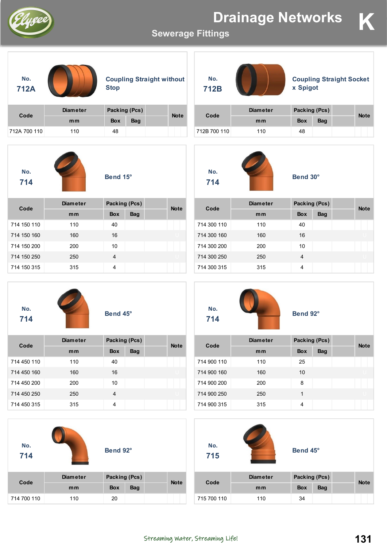

**Sewerage Fittings**





**Coupling Straight without Stop**

| Code         | <b>Diameter</b> | Packing (Pcs) |            | <b>Note</b> |
|--------------|-----------------|---------------|------------|-------------|
|              | mm              | <b>Box</b>    | <b>Bag</b> |             |
| 712A 700 110 | 110             | 48            |            |             |



**Bend 15°**

| Code        | <b>Diameter</b> | Packing (Pcs) |            | <b>Note</b> |
|-------------|-----------------|---------------|------------|-------------|
|             | mm              | <b>Box</b>    | <b>Bag</b> |             |
| 714 150 110 | 110             | 40            |            |             |
| 714 150 160 | 160             | 16            |            |             |
| 714 150 200 | 200             | 10            |            |             |
| 714 150 250 | 250             | 4             |            |             |
| 714 150 315 | 315             | 4             |            |             |

**No. 714**



| Bend 45° |  |
|----------|--|
|          |  |

| Code        | <b>Diameter</b> | Packing (Pcs) |            | <b>Note</b> |
|-------------|-----------------|---------------|------------|-------------|
|             | mm              | <b>Box</b>    | <b>Bag</b> |             |
| 714 450 110 | 110             | 40            |            |             |
| 714 450 160 | 160             | 16            |            |             |
| 714 450 200 | 200             | 10            |            |             |
| 714 450 250 | 250             | 4             |            |             |
| 714 450 315 | 315             | 4             |            |             |

| No.<br>714  |                 | Bend 92°      |            |             |
|-------------|-----------------|---------------|------------|-------------|
|             | <b>Diameter</b> | Packing (Pcs) |            | <b>Note</b> |
| Code        | mm              | <b>Box</b>    | <b>Bag</b> |             |
| 714 700 110 | 110             | 20            |            |             |

| No.<br>712B |                 | <b>Coupling Straight Socket</b><br>x Spigot |            |             |  |
|-------------|-----------------|---------------------------------------------|------------|-------------|--|
|             | <b>Diameter</b> | Packing (Pcs)                               |            | <b>Note</b> |  |
| Code        | mm              | <b>Box</b>                                  | <b>Bag</b> |             |  |



712B 700 110 110 48

**Bend 30°**

| Code        | <b>Diameter</b> | Packing (Pcs) |            | <b>Note</b> |
|-------------|-----------------|---------------|------------|-------------|
|             | mm              | <b>Box</b>    | <b>Bag</b> |             |
| 714 300 110 | 110             | 40            |            |             |
| 714 300 160 | 160             | 16            |            |             |
| 714 300 200 | 200             | 10            |            |             |
| 714 300 250 | 250             | 4             |            |             |
| 714 300 315 | 315             | 4             |            |             |



**Bend 92°**

| Code        | <b>Diameter</b> | Packing (Pcs) |            | <b>Note</b> |
|-------------|-----------------|---------------|------------|-------------|
|             | mm              | <b>Box</b>    | <b>Bag</b> |             |
| 714 900 110 | 110             | 25            |            |             |
| 714 900 160 | 160             | 10            |            |             |
| 714 900 200 | 200             | 8             |            |             |
| 714 900 250 | 250             | 1             |            |             |
| 714 900 315 | 315             | 4             |            |             |

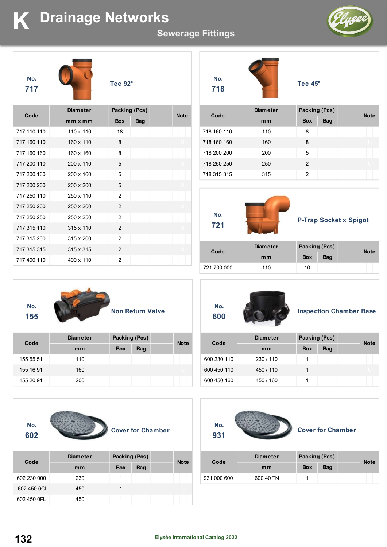# **K Drainage Networks**

### **Sewerage Fittings**

**No. 718**





**Tee 92°**

| Code        | <b>Diameter</b>  |                | Packing (Pcs) |  | <b>Note</b> |
|-------------|------------------|----------------|---------------|--|-------------|
|             | $mmx$ mm         | <b>Box</b>     | <b>Bag</b>    |  |             |
| 717 110 110 | $110 \times 110$ | 18             |               |  |             |
| 717 160 110 | 160 x 110        | 8              |               |  |             |
| 717 160 160 | 160 x 160        | 8              |               |  |             |
| 717 200 110 | 200 x 110        | 5              |               |  |             |
| 717 200 160 | 200 x 160        | 5              |               |  |             |
| 717 200 200 | 200 x 200        | 5              |               |  |             |
| 717 250 110 | 250 x 110        | 2              |               |  |             |
| 717 250 200 | 250 x 200        | 2              |               |  |             |
| 717 250 250 | 250 x 250        | 2              |               |  |             |
| 717 315 110 | 315 x 110        | 2              |               |  |             |
| 717 315 200 | 315 x 200        | 2              |               |  |             |
| 717 315 315 | 315 x 315        | 2              |               |  |             |
| 717 400 110 | 400 x 110        | $\overline{2}$ |               |  |             |



**Tee 45°**

| Code        | <b>Diameter</b> | Packing (Pcs) |            | <b>Note</b> |
|-------------|-----------------|---------------|------------|-------------|
|             | mm              | <b>Box</b>    | <b>Bag</b> |             |
| 718 160 110 | 110             | 8             |            |             |
| 718 160 160 | 160             | 8             |            |             |
| 718 200 200 | 200             | 5             |            |             |
| 718 250 250 | 250             | $\mathcal{P}$ |            |             |
| 718 315 315 | 315             | 2             |            |             |



### **P-Trap Socket x Spigot**

| Code        | <b>Diameter</b> | Packing (Pcs) |     | <b>Note</b> |
|-------------|-----------------|---------------|-----|-------------|
|             | mm              | <b>Box</b>    | Bag |             |
| 721 700 000 | 110             | 10            |     |             |



| Code      | <b>Diameter</b> | Packing (Pcs) |            | <b>Note</b> |  |
|-----------|-----------------|---------------|------------|-------------|--|
|           | mm              | <b>Box</b>    | <b>Bag</b> |             |  |
| 155 55 51 | 110             |               |            |             |  |
| 155 16 91 | 160             |               |            |             |  |
| 155 20 91 | 200             |               |            |             |  |



| Code        |     | .          |            | <b>Note</b> |  |
|-------------|-----|------------|------------|-------------|--|
|             | mm  | <b>Box</b> | <b>Bag</b> |             |  |
| 602 230 000 | 230 |            |            |             |  |
| 602 450 0CI | 450 |            |            |             |  |
| 602 450 OPL | 450 |            |            |             |  |



### **Inspection Chamber Base**

| Code        | <b>Diameter</b> | Packing (Pcs) |     | <b>Note</b> |
|-------------|-----------------|---------------|-----|-------------|
|             | mm              | <b>Box</b>    | Bag |             |
| 600 230 110 | 230/110         |               |     |             |
| 600 450 110 | 450 / 110       |               |     |             |
| 600 450 160 | 450 / 160       |               |     |             |



### **Cover for Chamber**

| Code        | <b>Diameter</b> | Packing (Pcs) |            | <b>Note</b> |
|-------------|-----------------|---------------|------------|-------------|
|             | mm              | <b>Box</b>    | <b>Bag</b> |             |
| 931 000 600 | 600 40 TN       |               |            |             |